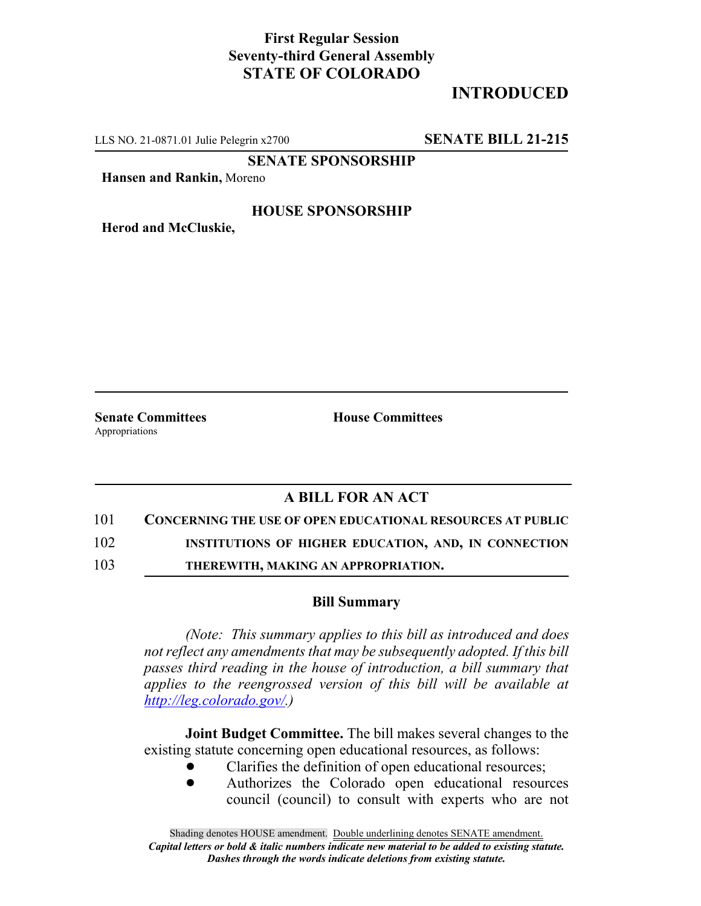## **First Regular Session Seventy-third General Assembly STATE OF COLORADO**

# **INTRODUCED**

LLS NO. 21-0871.01 Julie Pelegrin x2700 **SENATE BILL 21-215**

**SENATE SPONSORSHIP**

**Hansen and Rankin,** Moreno

### **HOUSE SPONSORSHIP**

**Herod and McCluskie,**

Appropriations

**Senate Committees House Committees** 

### **A BILL FOR AN ACT**

101 **CONCERNING THE USE OF OPEN EDUCATIONAL RESOURCES AT PUBLIC**

102 **INSTITUTIONS OF HIGHER EDUCATION, AND, IN CONNECTION**

103 **THEREWITH, MAKING AN APPROPRIATION.**

#### **Bill Summary**

*(Note: This summary applies to this bill as introduced and does not reflect any amendments that may be subsequently adopted. If this bill passes third reading in the house of introduction, a bill summary that applies to the reengrossed version of this bill will be available at http://leg.colorado.gov/.)*

**Joint Budget Committee.** The bill makes several changes to the existing statute concerning open educational resources, as follows:

- ! Clarifies the definition of open educational resources;
- ! Authorizes the Colorado open educational resources council (council) to consult with experts who are not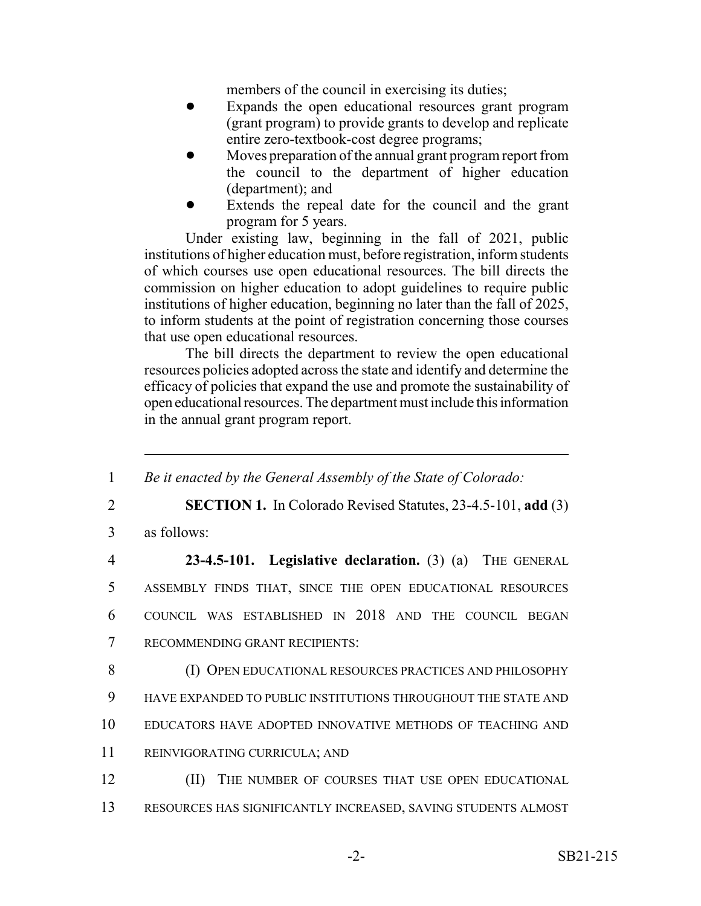members of the council in exercising its duties;

- ! Expands the open educational resources grant program (grant program) to provide grants to develop and replicate entire zero-textbook-cost degree programs;
- ! Moves preparation of the annual grant program report from the council to the department of higher education (department); and
- Extends the repeal date for the council and the grant program for 5 years.

Under existing law, beginning in the fall of 2021, public institutions of higher education must, before registration, inform students of which courses use open educational resources. The bill directs the commission on higher education to adopt guidelines to require public institutions of higher education, beginning no later than the fall of 2025, to inform students at the point of registration concerning those courses that use open educational resources.

The bill directs the department to review the open educational resources policies adopted across the state and identify and determine the efficacy of policies that expand the use and promote the sustainability of open educational resources. The department must include this information in the annual grant program report.

| $\mathbf{1}$   | Be it enacted by the General Assembly of the State of Colorado:     |
|----------------|---------------------------------------------------------------------|
| 2              | <b>SECTION 1.</b> In Colorado Revised Statutes, 23-4.5-101, add (3) |
| 3              | as follows:                                                         |
| $\overline{4}$ | $23-4.5-101$ . Legislative declaration. (3) (a)<br>THE GENERAL      |
| 5              | ASSEMBLY FINDS THAT, SINCE THE OPEN EDUCATIONAL RESOURCES           |
| 6              | COUNCIL WAS ESTABLISHED IN 2018 AND THE COUNCIL BEGAN               |
| 7              | RECOMMENDING GRANT RECIPIENTS:                                      |
| 8              | (I) OPEN EDUCATIONAL RESOURCES PRACTICES AND PHILOSOPHY             |
| 9              | HAVE EXPANDED TO PUBLIC INSTITUTIONS THROUGHOUT THE STATE AND       |
| 10             | EDUCATORS HAVE ADOPTED INNOVATIVE METHODS OF TEACHING AND           |
| 11             | REINVIGORATING CURRICULA; AND                                       |
| 12             | THE NUMBER OF COURSES THAT USE OPEN EDUCATIONAL<br>(II)             |
| 13             | RESOURCES HAS SIGNIFICANTLY INCREASED, SAVING STUDENTS ALMOST       |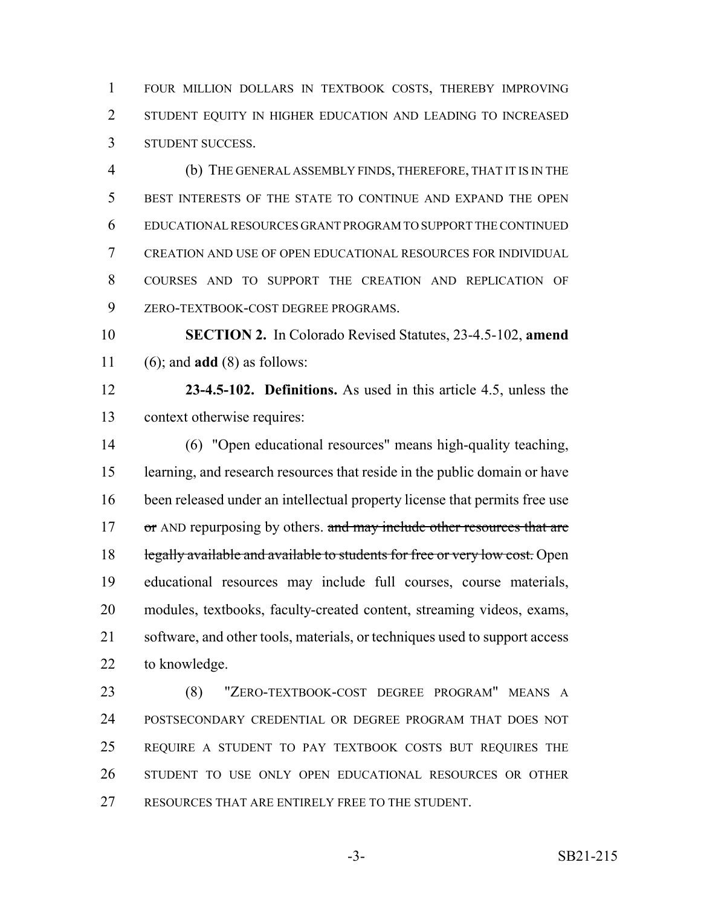FOUR MILLION DOLLARS IN TEXTBOOK COSTS, THEREBY IMPROVING 2 STUDENT EQUITY IN HIGHER EDUCATION AND LEADING TO INCREASED STUDENT SUCCESS.

 (b) THE GENERAL ASSEMBLY FINDS, THEREFORE, THAT IT IS IN THE BEST INTERESTS OF THE STATE TO CONTINUE AND EXPAND THE OPEN EDUCATIONAL RESOURCES GRANT PROGRAM TO SUPPORT THE CONTINUED CREATION AND USE OF OPEN EDUCATIONAL RESOURCES FOR INDIVIDUAL COURSES AND TO SUPPORT THE CREATION AND REPLICATION OF ZERO-TEXTBOOK-COST DEGREE PROGRAMS.

 **SECTION 2.** In Colorado Revised Statutes, 23-4.5-102, **amend** (6); and **add** (8) as follows:

 **23-4.5-102. Definitions.** As used in this article 4.5, unless the context otherwise requires:

 (6) "Open educational resources" means high-quality teaching, learning, and research resources that reside in the public domain or have been released under an intellectual property license that permits free use 17 or AND repurposing by others. and may include other resources that are 18 legally available and available to students for free or very low cost. Open educational resources may include full courses, course materials, modules, textbooks, faculty-created content, streaming videos, exams, software, and other tools, materials, or techniques used to support access to knowledge.

 (8) "ZERO-TEXTBOOK-COST DEGREE PROGRAM" MEANS A POSTSECONDARY CREDENTIAL OR DEGREE PROGRAM THAT DOES NOT REQUIRE A STUDENT TO PAY TEXTBOOK COSTS BUT REQUIRES THE STUDENT TO USE ONLY OPEN EDUCATIONAL RESOURCES OR OTHER RESOURCES THAT ARE ENTIRELY FREE TO THE STUDENT.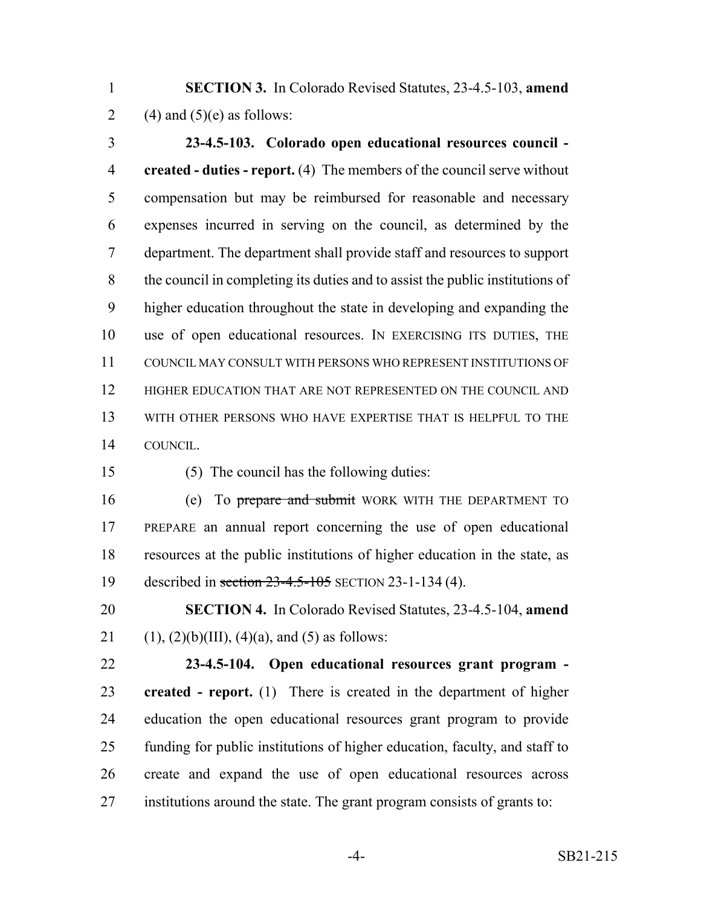**SECTION 3.** In Colorado Revised Statutes, 23-4.5-103, **amend** 2 (4) and  $(5)(e)$  as follows:

 **23-4.5-103. Colorado open educational resources council - created - duties - report.** (4) The members of the council serve without compensation but may be reimbursed for reasonable and necessary expenses incurred in serving on the council, as determined by the department. The department shall provide staff and resources to support the council in completing its duties and to assist the public institutions of higher education throughout the state in developing and expanding the use of open educational resources. IN EXERCISING ITS DUTIES, THE COUNCIL MAY CONSULT WITH PERSONS WHO REPRESENT INSTITUTIONS OF HIGHER EDUCATION THAT ARE NOT REPRESENTED ON THE COUNCIL AND WITH OTHER PERSONS WHO HAVE EXPERTISE THAT IS HELPFUL TO THE COUNCIL.

(5) The council has the following duties:

16 (e) To prepare and submit WORK WITH THE DEPARTMENT TO PREPARE an annual report concerning the use of open educational resources at the public institutions of higher education in the state, as 19 described in section 23-4.5-105 SECTION 23-1-134 (4).

 **SECTION 4.** In Colorado Revised Statutes, 23-4.5-104, **amend** 21 (1),  $(2)(b)(III)$ ,  $(4)(a)$ , and  $(5)$  as follows:

 **23-4.5-104. Open educational resources grant program - created - report.** (1) There is created in the department of higher education the open educational resources grant program to provide funding for public institutions of higher education, faculty, and staff to create and expand the use of open educational resources across institutions around the state. The grant program consists of grants to: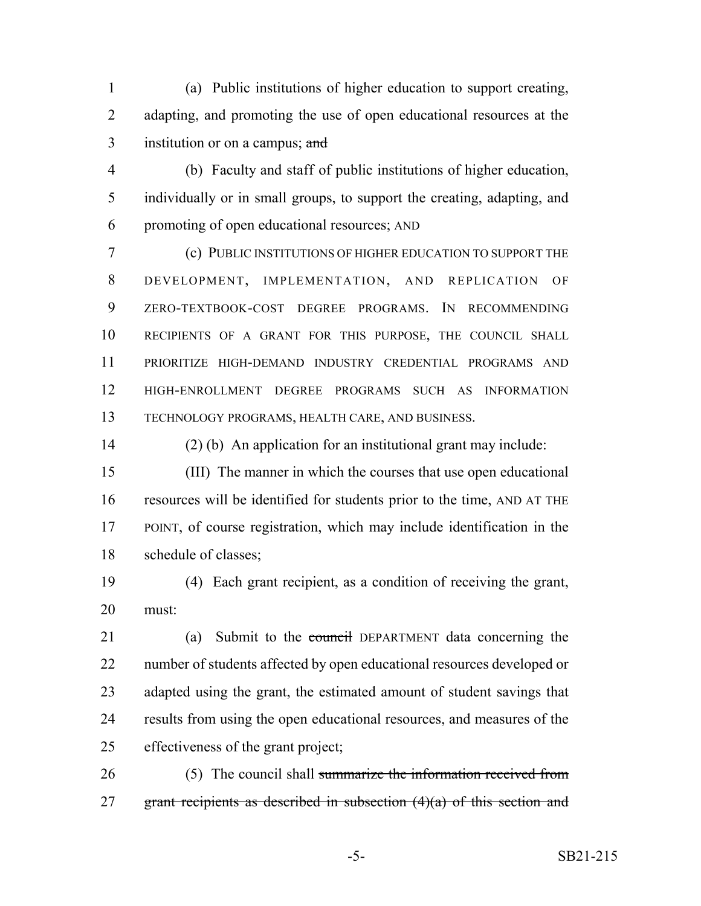(a) Public institutions of higher education to support creating, adapting, and promoting the use of open educational resources at the 3 institution or on a campus; and

 (b) Faculty and staff of public institutions of higher education, individually or in small groups, to support the creating, adapting, and promoting of open educational resources; AND

 (c) PUBLIC INSTITUTIONS OF HIGHER EDUCATION TO SUPPORT THE DEVELOPMENT, IMPLEMENTATION, AND REPLICATION OF ZERO-TEXTBOOK-COST DEGREE PROGRAMS. IN RECOMMENDING RECIPIENTS OF A GRANT FOR THIS PURPOSE, THE COUNCIL SHALL PRIORITIZE HIGH-DEMAND INDUSTRY CREDENTIAL PROGRAMS AND HIGH-ENROLLMENT DEGREE PROGRAMS SUCH AS INFORMATION TECHNOLOGY PROGRAMS, HEALTH CARE, AND BUSINESS.

(2) (b) An application for an institutional grant may include:

 (III) The manner in which the courses that use open educational resources will be identified for students prior to the time, AND AT THE POINT, of course registration, which may include identification in the schedule of classes;

 (4) Each grant recipient, as a condition of receiving the grant, must:

21 (a) Submit to the council DEPARTMENT data concerning the number of students affected by open educational resources developed or adapted using the grant, the estimated amount of student savings that results from using the open educational resources, and measures of the effectiveness of the grant project;

26 (5) The council shall summarize the information received from 27 grant recipients as described in subsection  $(4)(a)$  of this section and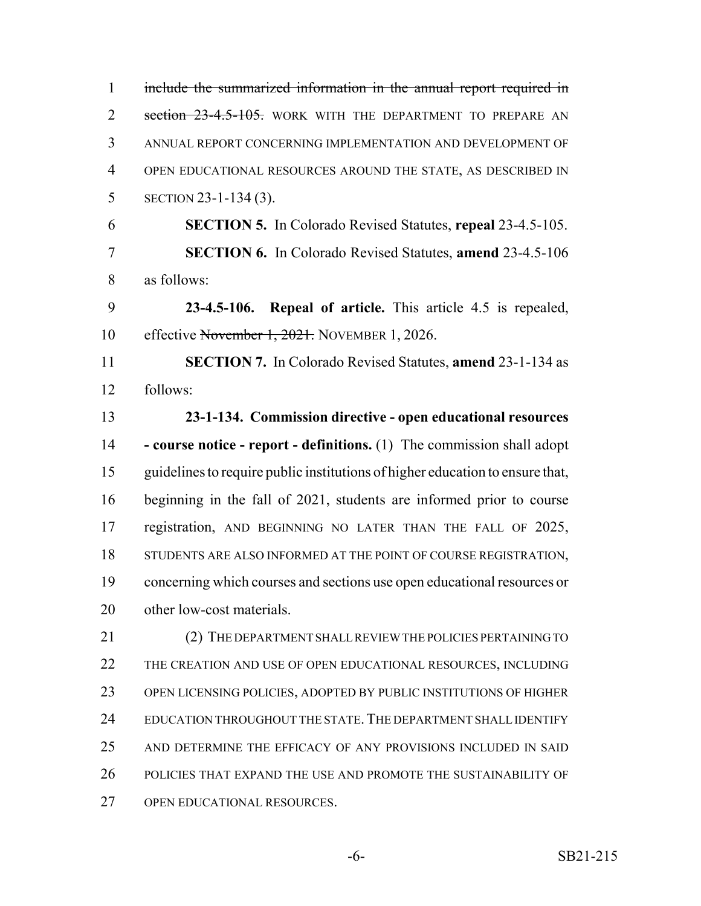include the summarized information in the annual report required in 2 section 23-4.5-105. WORK WITH THE DEPARTMENT TO PREPARE AN ANNUAL REPORT CONCERNING IMPLEMENTATION AND DEVELOPMENT OF OPEN EDUCATIONAL RESOURCES AROUND THE STATE, AS DESCRIBED IN SECTION 23-1-134 (3). **SECTION 5.** In Colorado Revised Statutes, **repeal** 23-4.5-105. **SECTION 6.** In Colorado Revised Statutes, **amend** 23-4.5-106 as follows: **23-4.5-106. Repeal of article.** This article 4.5 is repealed, 10 effective November 1, 2021. NOVEMBER 1, 2026. **SECTION 7.** In Colorado Revised Statutes, **amend** 23-1-134 as follows: **23-1-134. Commission directive - open educational resources - course notice - report - definitions.** (1) The commission shall adopt guidelines to require public institutions of higher education to ensure that, beginning in the fall of 2021, students are informed prior to course 17 registration, AND BEGINNING NO LATER THAN THE FALL OF 2025, 18 STUDENTS ARE ALSO INFORMED AT THE POINT OF COURSE REGISTRATION, concerning which courses and sections use open educational resources or other low-cost materials. (2) THE DEPARTMENT SHALL REVIEW THE POLICIES PERTAINING TO 22 THE CREATION AND USE OF OPEN EDUCATIONAL RESOURCES, INCLUDING OPEN LICENSING POLICIES, ADOPTED BY PUBLIC INSTITUTIONS OF HIGHER 24 EDUCATION THROUGHOUT THE STATE. THE DEPARTMENT SHALL IDENTIFY AND DETERMINE THE EFFICACY OF ANY PROVISIONS INCLUDED IN SAID POLICIES THAT EXPAND THE USE AND PROMOTE THE SUSTAINABILITY OF OPEN EDUCATIONAL RESOURCES.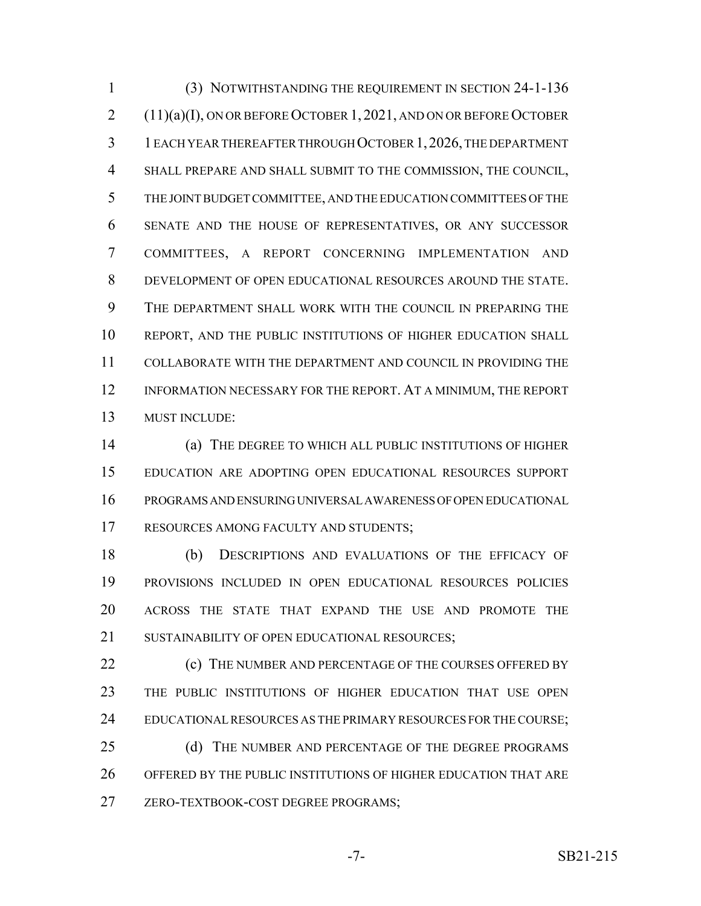(3) NOTWITHSTANDING THE REQUIREMENT IN SECTION 24-1-136 (11)(a)(I), ON OR BEFORE OCTOBER 1, 2021, AND ON OR BEFORE OCTOBER 1 EACH YEAR THEREAFTER THROUGH OCTOBER 1,2026, THE DEPARTMENT SHALL PREPARE AND SHALL SUBMIT TO THE COMMISSION, THE COUNCIL, THE JOINT BUDGET COMMITTEE, AND THE EDUCATION COMMITTEES OF THE SENATE AND THE HOUSE OF REPRESENTATIVES, OR ANY SUCCESSOR COMMITTEES, A REPORT CONCERNING IMPLEMENTATION AND DEVELOPMENT OF OPEN EDUCATIONAL RESOURCES AROUND THE STATE. THE DEPARTMENT SHALL WORK WITH THE COUNCIL IN PREPARING THE REPORT, AND THE PUBLIC INSTITUTIONS OF HIGHER EDUCATION SHALL COLLABORATE WITH THE DEPARTMENT AND COUNCIL IN PROVIDING THE INFORMATION NECESSARY FOR THE REPORT. AT A MINIMUM, THE REPORT MUST INCLUDE:

 (a) THE DEGREE TO WHICH ALL PUBLIC INSTITUTIONS OF HIGHER EDUCATION ARE ADOPTING OPEN EDUCATIONAL RESOURCES SUPPORT PROGRAMS AND ENSURING UNIVERSAL AWARENESS OF OPEN EDUCATIONAL RESOURCES AMONG FACULTY AND STUDENTS;

 (b) DESCRIPTIONS AND EVALUATIONS OF THE EFFICACY OF PROVISIONS INCLUDED IN OPEN EDUCATIONAL RESOURCES POLICIES ACROSS THE STATE THAT EXPAND THE USE AND PROMOTE THE 21 SUSTAINABILITY OF OPEN EDUCATIONAL RESOURCES;

**(c)** THE NUMBER AND PERCENTAGE OF THE COURSES OFFERED BY THE PUBLIC INSTITUTIONS OF HIGHER EDUCATION THAT USE OPEN 24 EDUCATIONAL RESOURCES AS THE PRIMARY RESOURCES FOR THE COURSE;

25 (d) THE NUMBER AND PERCENTAGE OF THE DEGREE PROGRAMS OFFERED BY THE PUBLIC INSTITUTIONS OF HIGHER EDUCATION THAT ARE ZERO-TEXTBOOK-COST DEGREE PROGRAMS;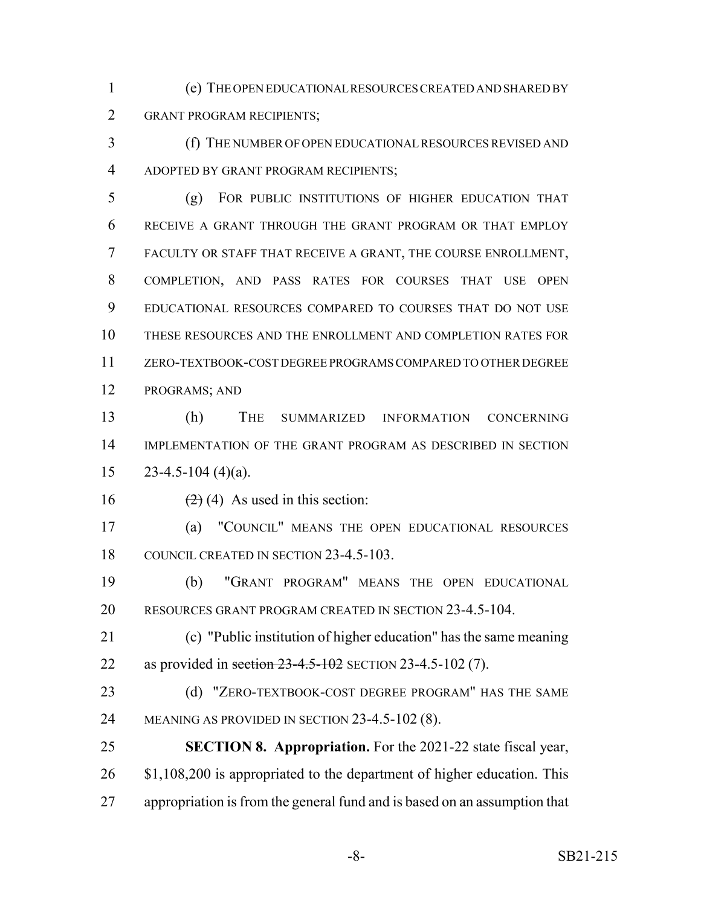(e) THE OPEN EDUCATIONAL RESOURCES CREATED AND SHARED BY GRANT PROGRAM RECIPIENTS;

 (f) THE NUMBER OF OPEN EDUCATIONAL RESOURCES REVISED AND ADOPTED BY GRANT PROGRAM RECIPIENTS;

 (g) FOR PUBLIC INSTITUTIONS OF HIGHER EDUCATION THAT RECEIVE A GRANT THROUGH THE GRANT PROGRAM OR THAT EMPLOY FACULTY OR STAFF THAT RECEIVE A GRANT, THE COURSE ENROLLMENT, COMPLETION, AND PASS RATES FOR COURSES THAT USE OPEN EDUCATIONAL RESOURCES COMPARED TO COURSES THAT DO NOT USE THESE RESOURCES AND THE ENROLLMENT AND COMPLETION RATES FOR ZERO-TEXTBOOK-COST DEGREE PROGRAMS COMPARED TO OTHER DEGREE PROGRAMS; AND

 (h) THE SUMMARIZED INFORMATION CONCERNING IMPLEMENTATION OF THE GRANT PROGRAM AS DESCRIBED IN SECTION  $15 \qquad 23-4.5-104 \; (4)(a).$ 

16  $(2)(4)$  As used in this section:

 (a) "COUNCIL" MEANS THE OPEN EDUCATIONAL RESOURCES 18 COUNCIL CREATED IN SECTION 23-4.5-103.

 (b) "GRANT PROGRAM" MEANS THE OPEN EDUCATIONAL RESOURCES GRANT PROGRAM CREATED IN SECTION 23-4.5-104.

 (c) "Public institution of higher education" has the same meaning 22 as provided in section 23-4.5-102 SECTION 23-4.5-102 (7).

23 (d) "ZERO-TEXTBOOK-COST DEGREE PROGRAM" HAS THE SAME MEANING AS PROVIDED IN SECTION 23-4.5-102 (8).

 **SECTION 8. Appropriation.** For the 2021-22 state fiscal year, 26 \$1,108,200 is appropriated to the department of higher education. This appropriation is from the general fund and is based on an assumption that